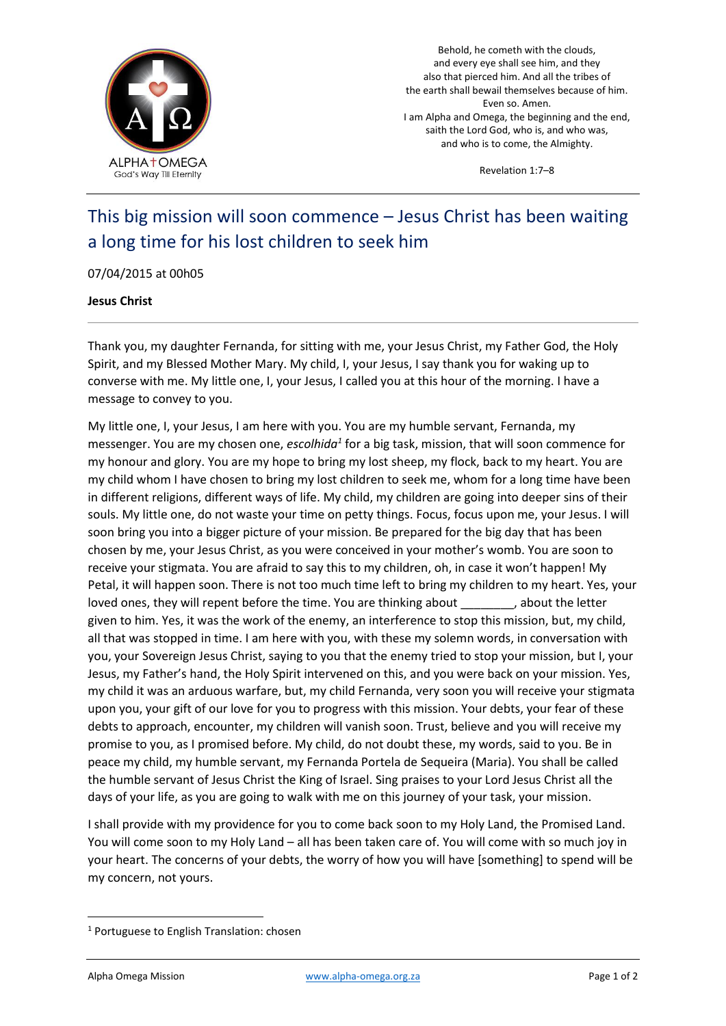

Behold, he cometh with the clouds, and every eye shall see him, and they also that pierced him. And all the tribes of the earth shall bewail themselves because of him. Even so. Amen. I am Alpha and Omega, the beginning and the end, saith the Lord God, who is, and who was, and who is to come, the Almighty.

Revelation 1:7–8

## This big mission will soon commence – Jesus Christ has been waiting a long time for his lost children to seek him

07/04/2015 at 00h05

## **Jesus Christ**

Thank you, my daughter Fernanda, for sitting with me, your Jesus Christ, my Father God, the Holy Spirit, and my Blessed Mother Mary. My child, I, your Jesus, I say thank you for waking up to converse with me. My little one, I, your Jesus, I called you at this hour of the morning. I have a message to convey to you.

My little one, I, your Jesus, I am here with you. You are my humble servant, Fernanda, my messenger. You are my chosen one, *escolhida<sup>1</sup>* for a big task, mission, that will soon commence for my honour and glory. You are my hope to bring my lost sheep, my flock, back to my heart. You are my child whom I have chosen to bring my lost children to seek me, whom for a long time have been in different religions, different ways of life. My child, my children are going into deeper sins of their souls. My little one, do not waste your time on petty things. Focus, focus upon me, your Jesus. I will soon bring you into a bigger picture of your mission. Be prepared for the big day that has been chosen by me, your Jesus Christ, as you were conceived in your mother's womb. You are soon to receive your stigmata. You are afraid to say this to my children, oh, in case it won't happen! My Petal, it will happen soon. There is not too much time left to bring my children to my heart. Yes, your loved ones, they will repent before the time. You are thinking about \_\_\_\_\_\_\_\_, about the letter given to him. Yes, it was the work of the enemy, an interference to stop this mission, but, my child, all that was stopped in time. I am here with you, with these my solemn words, in conversation with you, your Sovereign Jesus Christ, saying to you that the enemy tried to stop your mission, but I, your Jesus, my Father's hand, the Holy Spirit intervened on this, and you were back on your mission. Yes, my child it was an arduous warfare, but, my child Fernanda, very soon you will receive your stigmata upon you, your gift of our love for you to progress with this mission. Your debts, your fear of these debts to approach, encounter, my children will vanish soon. Trust, believe and you will receive my promise to you, as I promised before. My child, do not doubt these, my words, said to you. Be in peace my child, my humble servant, my Fernanda Portela de Sequeira (Maria). You shall be called the humble servant of Jesus Christ the King of Israel. Sing praises to your Lord Jesus Christ all the days of your life, as you are going to walk with me on this journey of your task, your mission.

I shall provide with my providence for you to come back soon to my Holy Land, the Promised Land. You will come soon to my Holy Land – all has been taken care of. You will come with so much joy in your heart. The concerns of your debts, the worry of how you will have [something] to spend will be my concern, not yours.

<sup>&</sup>lt;sup>1</sup> Portuguese to English Translation: chosen